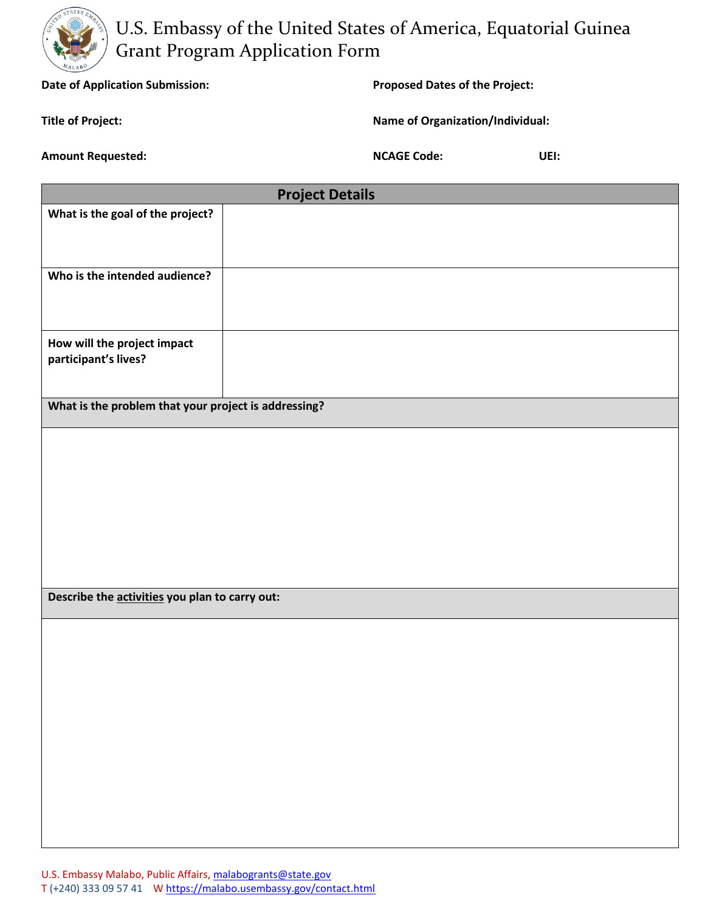

U.S. Embassy of the United States of America, Equatorial Guinea Grant Program Application Form

**Date of Application Submission: Proposed Dates of the Project:** 

**Title of Project: Name of Organization/Individual:**

**Amount Requested: NCAGE Code: UEI:**

| <b>Project Details</b>                               |  |  |
|------------------------------------------------------|--|--|
| What is the goal of the project?                     |  |  |
|                                                      |  |  |
|                                                      |  |  |
| Who is the intended audience?                        |  |  |
|                                                      |  |  |
|                                                      |  |  |
| How will the project impact                          |  |  |
| participant's lives?                                 |  |  |
|                                                      |  |  |
| What is the problem that your project is addressing? |  |  |
|                                                      |  |  |
|                                                      |  |  |
|                                                      |  |  |
|                                                      |  |  |
|                                                      |  |  |
|                                                      |  |  |
|                                                      |  |  |
|                                                      |  |  |
| Describe the activities you plan to carry out:       |  |  |
|                                                      |  |  |
|                                                      |  |  |
|                                                      |  |  |
|                                                      |  |  |
|                                                      |  |  |
|                                                      |  |  |
|                                                      |  |  |
|                                                      |  |  |
|                                                      |  |  |
|                                                      |  |  |
|                                                      |  |  |
|                                                      |  |  |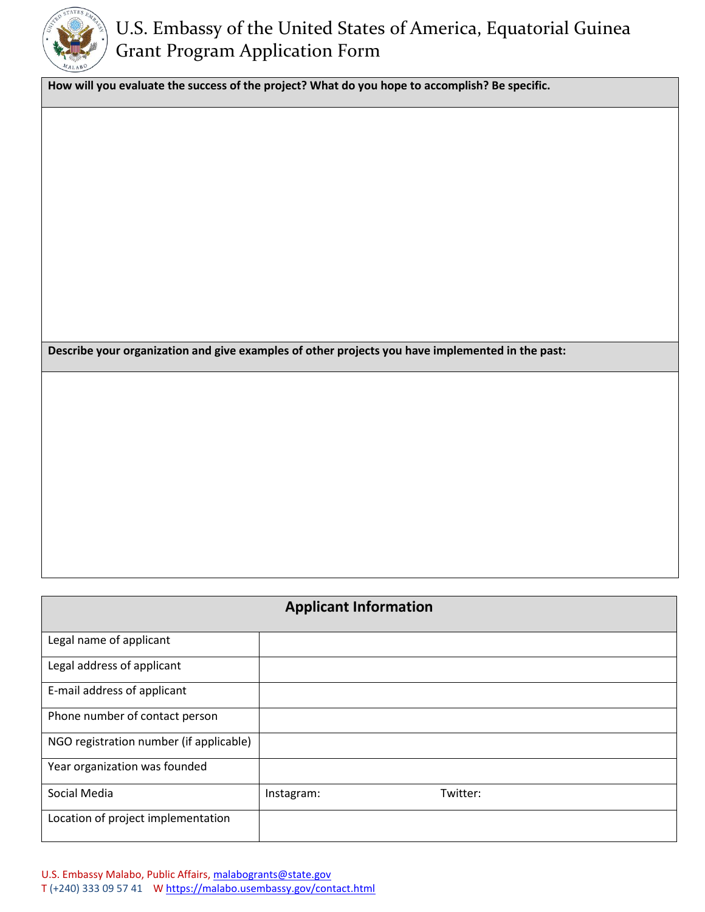

## U.S. Embassy of the United States of America, Equatorial Guinea Grant Program Application Form

**How will you evaluate the success of the project? What do you hope to accomplish? Be specific.** 

**Describe your organization and give examples of other projects you have implemented in the past:**

| <b>Applicant Information</b>            |            |          |  |
|-----------------------------------------|------------|----------|--|
| Legal name of applicant                 |            |          |  |
| Legal address of applicant              |            |          |  |
| E-mail address of applicant             |            |          |  |
| Phone number of contact person          |            |          |  |
| NGO registration number (if applicable) |            |          |  |
| Year organization was founded           |            |          |  |
| Social Media                            | Instagram: | Twitter: |  |
| Location of project implementation      |            |          |  |